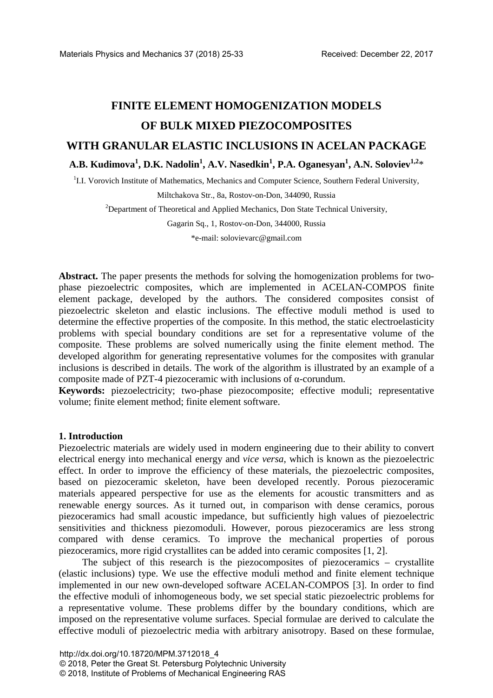# **FINITE ELEMENT HOMOGENIZATION MODELS OF BULK MIXED PIEZOCOMPOSITES WITH GRANULAR ELASTIC INCLUSIONS IN ACELAN PACKAGE A.B. Kudimova<sup>1</sup> , D.K. Nadolin1 , A.V. Nasedkin<sup>1</sup> , P.A. Oganesyan<sup>1</sup> , A.N. Soloviev1,2**\*

<sup>1</sup>I.I. Vorovich Institute of Mathematics, Mechanics and Computer Science, Southern Federal University,

Miltchakova Str., 8a, Rostov-on-Don, 344090, Russia

<sup>2</sup>Department of Theoretical and Applied Mechanics, Don State Technical University,

Gagarin Sq., 1, Rostov-on-Don, 344000, Russia \*e-mail: solovievarc@gmail.com

**Abstract.** The paper presents the methods for solving the homogenization problems for twophase piezoelectric composites, which are implemented in ACELAN-COMPOS finite element package, developed by the authors. The considered composites consist of piezoelectric skeleton and elastic inclusions. The effective moduli method is used to determine the effective properties of the composite. In this method, the static electroelasticity problems with special boundary conditions are set for a representative volume of the composite. These problems are solved numerically using the finite element method. The developed algorithm for generating representative volumes for the composites with granular inclusions is described in details. The work of the algorithm is illustrated by an example of a composite made of PZT-4 piezoceramic with inclusions of α-corundum.

**Keywords:** piezoelectricity; two-phase piezocomposite; effective moduli; representative volume; finite element method; finite element software.

### **1. Introduction**

Piezoelectric materials are widely used in modern engineering due to their ability to convert electrical energy into mechanical energy and *vice versa*, which is known as the piezoelectric effect. In order to improve the efficiency of these materials, the piezoelectric composites, based on piezoceramic skeleton, have been developed recently. Porous piezoceramic materials appeared perspective for use as the elements for acoustic transmitters and as renewable energy sources. As it turned out, in comparison with dense ceramics, porous piezoceramics had small acoustic impedance, but sufficiently high values of piezoelectric sensitivities and thickness piezomoduli. However, porous piezoceramics are less strong compared with dense ceramics. To improve the mechanical properties of porous piezoceramics, more rigid crystallites can be added into ceramic composites [1, 2].

The subject of this research is the piezocomposites of piezoceramics – crystallite (elastic inclusions) type. We use the effective moduli method and finite element technique implemented in our new own-developed software ACELAN-COMPOS [3]. In order to find the effective moduli of inhomogeneous body, we set special static piezoelectric problems for a representative volume. These problems differ by the boundary conditions, which are imposed on the representative volume surfaces. Special formulae are derived to calculate the effective moduli of piezoelectric media with arbitrary anisotropy. Based on these formulae,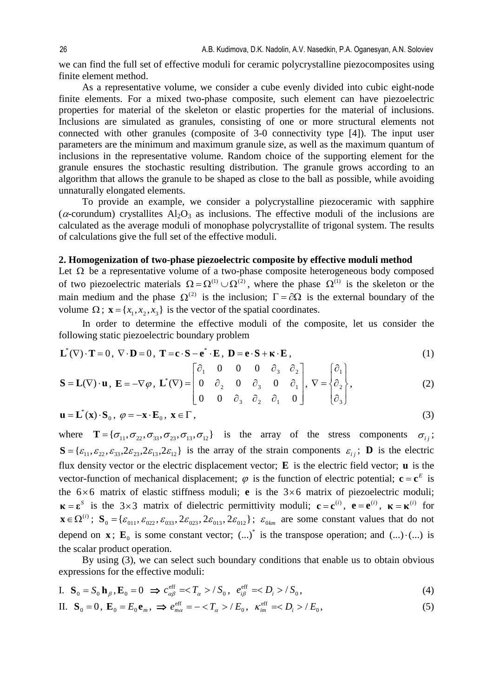we can find the full set of effective moduli for ceramic polycrystalline piezocomposites using finite element method.

As a representative volume, we consider a cube evenly divided into cubic eight-node finite elements. For a mixed two-phase composite, such element can have piezoelectric properties for material of the skeleton or elastic properties for the material of inclusions. Inclusions are simulated as granules, consisting of one or more structural elements not connected with other granules (composite of 3-0 connectivity type [4]). The input user parameters are the minimum and maximum granule size, as well as the maximum quantum of inclusions in the representative volume. Random choice of the supporting element for the granule ensures the stochastic resulting distribution. The granule grows according to an algorithm that allows the granule to be shaped as close to the ball as possible, while avoiding unnaturally elongated elements.

To provide an example, we consider a polycrystalline piezoceramic with sapphire ( $\alpha$ -corundum) crystallites Al<sub>2</sub>O<sub>3</sub> as inclusions. The effective moduli of the inclusions are calculated as the average moduli of monophase polycrystallite of trigonal system. The results of calculations give the full set of the effective moduli.

# **2. Homogenization of two-phase piezoelectric composite by effective moduli method**

Let  $\Omega$  be a representative volume of a two-phase composite heterogeneous body composed of two piezoelectric materials  $\Omega = \Omega^{(1)} \cup \Omega^{(2)}$ , where the phase  $\Omega^{(1)}$  is the skeleton or the main medium and the phase  $\Omega^{(2)}$  is the inclusion;  $\Gamma = \partial \Omega$  is the external boundary of the volume  $\Omega$ ;  ${\bf x} = \{x_1, x_2, x_3\}$  is the vector of the spatial coordinates.

In order to determine the effective moduli of the composite, let us consider the following static piezoelectric boundary problem

$$
\mathbf{L}^*(\nabla) \cdot \mathbf{T} = 0, \ \nabla \cdot \mathbf{D} = 0, \ \mathbf{T} = \mathbf{c} \cdot \mathbf{S} - \mathbf{e}^* \cdot \mathbf{E}, \ \mathbf{D} = \mathbf{e} \cdot \mathbf{S} + \mathbf{\kappa} \cdot \mathbf{E}, \tag{1}
$$

$$
\mathbf{S} = \mathbf{L}(\nabla) \cdot \mathbf{u}, \ \mathbf{E} = -\nabla \varphi, \ \mathbf{L}^*(\nabla) = \begin{bmatrix} \partial_1 & 0 & 0 & 0 & \partial_3 & \partial_2 \\ 0 & \partial_2 & 0 & \partial_3 & 0 & \partial_1 \\ 0 & 0 & \partial_3 & \partial_2 & \partial_1 & 0 \end{bmatrix}, \ \nabla = \begin{bmatrix} \partial_1 \\ \partial_2 \\ \partial_3 \end{bmatrix}, \tag{2}
$$

$$
\mathbf{u} = \mathbf{L}^*(\mathbf{x}) \cdot \mathbf{S}_0, \ \varphi = -\mathbf{x} \cdot \mathbf{E}_0, \ \mathbf{x} \in \Gamma \,, \tag{3}
$$

where  ${\bf T} = {\sigma_{11}, \sigma_{22}, \sigma_{33}, \sigma_{23}, \sigma_{13}, \sigma_{12}}$  is the array of the stress components  $\sigma_{ij}$ ;  $S = {\varepsilon_{11}, \varepsilon_{22}, \varepsilon_{33}, 2\varepsilon_{23}, 2\varepsilon_{13}, 2\varepsilon_{12}}$  is the array of the strain components  $\varepsilon_{ij}$ ; **D** is the electric flux density vector or the electric displacement vector; **E** is the electric field vector; **u** is the vector-function of mechanical displacement;  $\varphi$  is the function of electric potential;  $\mathbf{c} = \mathbf{c}^E$  is the  $6 \times 6$  matrix of elastic stiffness moduli; **e** is the  $3 \times 6$  matrix of piezoelectric moduli;  $\mathbf{k} = \mathbf{\varepsilon}^s$  is the 3×3 matrix of dielectric permittivity moduli;  $\mathbf{c} = \mathbf{c}^{(i)}$ ,  $\mathbf{e} = \mathbf{e}^{(i)}$ ,  $\mathbf{\kappa} = \mathbf{\kappa}^{(i)}$  for  $\mathbf{x} \in \Omega^{(i)}$ ;  $\mathbf{S}_0 = {\varepsilon_{011}, \varepsilon_{022}, \varepsilon_{033}, 2\varepsilon_{023}, 2\varepsilon_{013}, 2\varepsilon_{012}}$ ;  $\varepsilon_{0km}$  are some constant values that do not depend on **x**;  $\mathbf{E}_0$  is some constant vector;  $(\ldots)^*$  is the transpose operation; and  $(\ldots) \cdot (\ldots)$  is the scalar product operation.

By using (3), we can select such boundary conditions that enable us to obtain obvious expressions for the effective moduli:

I. 
$$
\mathbf{S}_0 = S_0 \mathbf{h}_{\beta}, \mathbf{E}_0 = 0 \implies c_{\alpha\beta}^{\text{eff}} = \langle T_{\alpha} \rangle / S_0, e_{i\beta}^{\text{eff}} = \langle D_i \rangle / S_0,
$$
 (4)

II. 
$$
\mathbf{S}_0 = 0
$$
,  $\mathbf{E}_0 = E_0 \mathbf{e}_m$ ,  $\Rightarrow e_{m\alpha}^{\text{eff}} = -\langle T_\alpha \rangle / E_0$ ,  $\kappa_{im}^{\text{eff}} =\langle D_i \rangle / E_0$ , (5)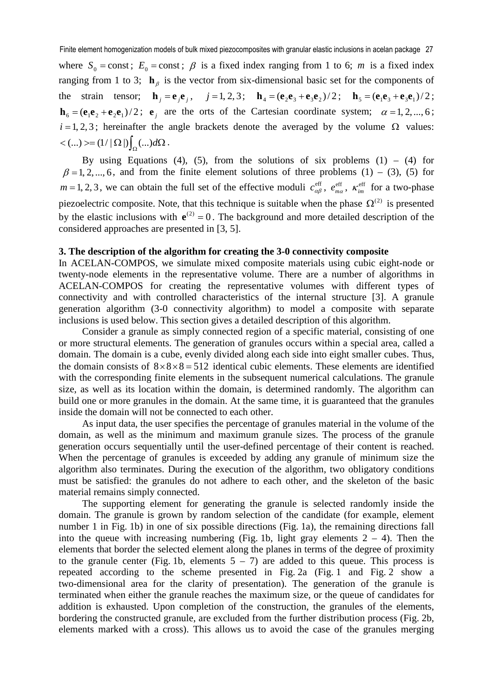where  $S_0$  = const;  $E_0$  = const;  $\beta$  is a fixed index ranging from 1 to 6; *m* is a fixed index ranging from 1 to 3;  $\mathbf{h}_{\beta}$  is the vector from six-dimensional basic set for the components of the strain tensor;  $\mathbf{h}_j = \mathbf{e}_j \mathbf{e}_j$ ,  $j = 1, 2, 3;$   $\mathbf{h}_4 = (\mathbf{e}_2 \mathbf{e}_3 + \mathbf{e}_3 \mathbf{e}_2)/2$ ;  $\mathbf{h}_5 = (\mathbf{e}_1 \mathbf{e}_3 + \mathbf{e}_3 \mathbf{e}_1)/2$ ;  $\mathbf{h}_6 = (\mathbf{e}_1 \mathbf{e}_2 + \mathbf{e}_2 \mathbf{e}_1)/2$ ;  $\mathbf{e}_i$  are the orts of the Cartesian coordinate system;  $\alpha = 1, 2, ..., 6$ ;  $i = 1, 2, 3$ ; hereinafter the angle brackets denote the averaged by the volume  $\Omega$  values:  $< (...)> = (1/|\Omega|)\int_{\Omega} (...) d\Omega.$ 

By using Equations (4), (5), from the solutions of six problems (1) – (4) for  $\beta = 1, 2, ..., 6$ , and from the finite element solutions of three problems (1) – (3), (5) for  $m = 1, 2, 3$ , we can obtain the full set of the effective moduli  $c_{\alpha\beta}^{\text{eff}}$ ,  $e_{\alpha\beta}^{\text{eff}}$ ,  $\kappa_{im}^{\text{eff}}$  for a two-phase piezoelectric composite. Note, that this technique is suitable when the phase  $\Omega^{(2)}$  is presented by the elastic inclusions with  $e^{(2)} = 0$ . The background and more detailed description of the considered approaches are presented in [3, 5].

# **3. The description of the algorithm for creating the 3-0 connectivity composite**

In ACELAN-COMPOS, we simulate mixed composite materials using cubic eight-node or twenty-node elements in the representative volume. There are a number of algorithms in ACELAN-COMPOS for creating the representative volumes with different types of connectivity and with controlled characteristics of the internal structure [3]. A granule generation algorithm (3-0 connectivity algorithm) to model a composite with separate inclusions is used below. This section gives a detailed description of this algorithm.

Consider a granule as simply connected region of a specific material, consisting of one or more structural elements. The generation of granules occurs within a special area, called a domain. The domain is a cube, evenly divided along each side into eight smaller cubes. Thus, the domain consists of  $8\times8\times8=512$  identical cubic elements. These elements are identified with the corresponding finite elements in the subsequent numerical calculations. The granule size, as well as its location within the domain, is determined randomly. The algorithm can build one or more granules in the domain. At the same time, it is guaranteed that the granules inside the domain will not be connected to each other.

As input data, the user specifies the percentage of granules material in the volume of the domain, as well as the minimum and maximum granule sizes. The process of the granule generation occurs sequentially until the user-defined percentage of their content is reached. When the percentage of granules is exceeded by adding any granule of minimum size the algorithm also terminates. During the execution of the algorithm, two obligatory conditions must be satisfied: the granules do not adhere to each other, and the skeleton of the basic material remains simply connected.

The supporting element for generating the granule is selected randomly inside the domain. The granule is grown by random selection of the candidate (for example, element number 1 in Fig. 1b) in one of six possible directions (Fig. 1a), the remaining directions fall into the queue with increasing numbering (Fig. 1b, light gray elements  $2 - 4$ ). Then the elements that border the selected element along the planes in terms of the degree of proximity to the granule center (Fig. 1b, elements  $5 - 7$ ) are added to this queue. This process is repeated according to the scheme presented in Fig. 2a (Fig. 1 and Fig. 2 show a two-dimensional area for the clarity of presentation). The generation of the granule is terminated when either the granule reaches the maximum size, or the queue of candidates for addition is exhausted. Upon completion of the construction, the granules of the elements, bordering the constructed granule, are excluded from the further distribution process (Fig. 2b, elements marked with a cross). This allows us to avoid the case of the granules merging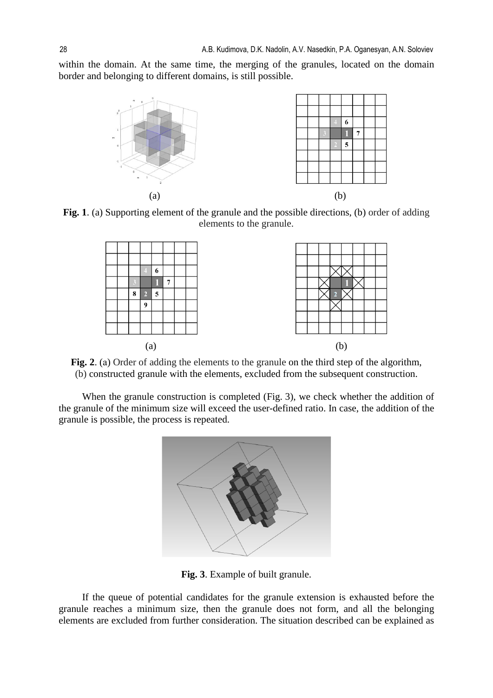within the domain. At the same time, the merging of the granules, located on the domain border and belonging to different domains, is still possible.



**Fig. 1**. (a) Supporting element of the granule and the possible directions, (b) order of adding elements to the granule.



Fig. 2. (a) Order of adding the elements to the granule on the third step of the algorithm, (b) constructed granule with the elements, excluded from the subsequent construction.

When the granule construction is completed (Fig. 3), we check whether the addition of the granule of the minimum size will exceed the user-defined ratio. In case, the addition of the granule is possible, the process is repeated.



**Fig. 3**. Example of built granule.

If the queue of potential candidates for the granule extension is exhausted before the granule reaches a minimum size, then the granule does not form, and all the belonging elements are excluded from further consideration. The situation described can be explained as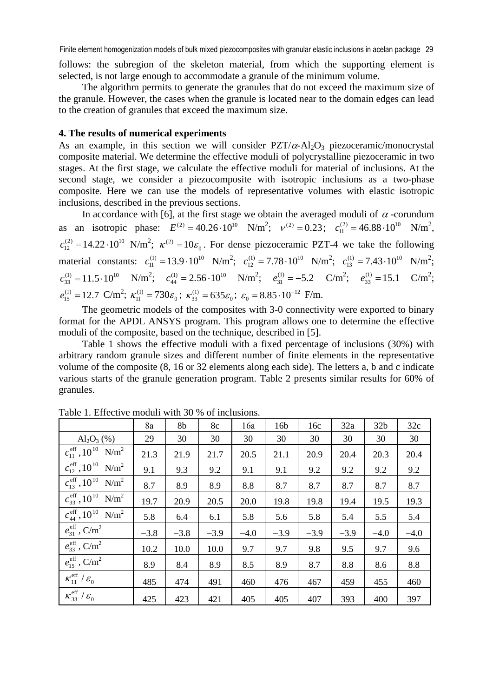Finite element homogenization models of bulk mixed piezocomposites with granular elastic inclusions in acelan package 29

follows: the subregion of the skeleton material, from which the supporting element is selected, is not large enough to accommodate a granule of the minimum volume.

The algorithm permits to generate the granules that do not exceed the maximum size of the granule. However, the cases when the granule is located near to the domain edges can lead to the creation of granules that exceed the maximum size.

#### **4. The results of numerical experiments**

As an example, in this section we will consider  $PZT/\alpha$ -Al<sub>2</sub>O<sub>3</sub> piezoceramic/monocrystal composite material. We determine the effective moduli of polycrystalline piezoceramic in two stages. At the first stage, we calculate the effective moduli for material of inclusions. At the second stage, we consider a piezocomposite with isotropic inclusions as a two-phase composite. Here we can use the models of representative volumes with elastic isotropic inclusions, described in the previous sections.

In accordance with [6], at the first stage we obtain the averaged moduli of  $\alpha$ -corundum as an isotropic phase:  $E^{(2)} = 40.26 \cdot 10^{10}$  N/m<sup>2</sup>;  $v^{(2)} = 0.23$ ;  $c_{11}^{(2)} = 46.88 \cdot 10^{10}$  N/m<sup>2</sup>,  $c_{12}^{(2)} = 14.22 \cdot 10^{10}$  N/m<sup>2</sup>;  $\kappa^{(2)} = 10 \varepsilon_0$ . For dense piezoceramic PZT-4 we take the following material constants:  $c_{11}^{(1)} = 13.9 \cdot 10^{10} \text{ N/m}^2$ ;  $c_{12}^{(1)} = 7.78 \cdot 10^{10} \text{ N/m}^2$ ;  $c_{13}^{(1)} = 7.43 \cdot 10^{10} \text{ N/m}^2$ ;  $c_{33}^{(1)} = 11.5 \cdot 10^{10}$  N/m<sup>2</sup>;  $c_{44}^{(1)} = 2.56 \cdot 10^{10}$  N/m<sup>2</sup>;  $e_{31}^{(1)} = -5.2$  C/m<sup>2</sup>;  $e_{33}^{(1)} = 15.1$  C/m<sup>2</sup>;  $e_{15}^{(1)} = 12.7 \text{ C/m}^2$ ;  $\kappa_{11}^{(1)} = 730\varepsilon_0$ ;  $\kappa_{33}^{(1)} = 635\varepsilon_0$ ;  $\varepsilon_0 = 8.85 \cdot 10^{-12} \text{ F/m}$ .

The geometric models of the composites with 3-0 connectivity were exported to binary format for the APDL ANSYS program. This program allows one to determine the effective moduli of the composite, based on the technique, described in [5].

Table 1 shows the effective moduli with a fixed percentage of inclusions (30%) with arbitrary random granule sizes and different number of finite elements in the representative volume of the composite (8, 16 or 32 elements along each side). The letters a, b and c indicate various starts of the granule generation program. Table 2 presents similar results for 60% of granules.

|                                                                       | 8a     | 8b     | 8c     | 16a    | 16 <sub>b</sub> | 16c    | 32a    | 32 <sub>b</sub> | 32c    |
|-----------------------------------------------------------------------|--------|--------|--------|--------|-----------------|--------|--------|-----------------|--------|
| $Al_2O_3$ (%)                                                         | 29     | 30     | 30     | 30     | 30              | 30     | 30     | 30              | 30     |
| $c_{11}^{\text{eff}}$ , 10 <sup>10</sup> N/m <sup>2</sup>             | 21.3   | 21.9   | 21.7   | 20.5   | 21.1            | 20.9   | 20.4   | 20.3            | 20.4   |
| $c_{12}^{\text{eff}}$ , 10 <sup>10</sup> N/m <sup>2</sup>             | 9.1    | 9.3    | 9.2    | 9.1    | 9.1             | 9.2    | 9.2    | 9.2             | 9.2    |
| $c_{13}^{\text{eff}}$ , 10 <sup>10</sup> N/m <sup>2</sup>             | 8.7    | 8.9    | 8.9    | 8.8    | 8.7             | 8.7    | 8.7    | 8.7             | 8.7    |
| $c_{33}^{\text{eff}}$ , 10 <sup>10</sup> N/m <sup>2</sup>             | 19.7   | 20.9   | 20.5   | 20.0   | 19.8            | 19.8   | 19.4   | 19.5            | 19.3   |
| $c_{\text{\tiny 44}}^{\text{\tiny eff}}, 10^{10}$<br>N/m <sup>2</sup> | 5.8    | 6.4    | 6.1    | 5.8    | 5.6             | 5.8    | 5.4    | 5.5             | 5.4    |
| $e_{31}^{\text{eff}}$ , C/m <sup>2</sup>                              | $-3.8$ | $-3.8$ | $-3.9$ | $-4.0$ | $-3.9$          | $-3.9$ | $-3.9$ | $-4.0$          | $-4.0$ |
| $e_{33}^{\text{eff}}$ , C/m <sup>2</sup>                              | 10.2   | 10.0   | 10.0   | 9.7    | 9.7             | 9.8    | 9.5    | 9.7             | 9.6    |
| $e_{15}^{\text{eff}}$ , C/m <sup>2</sup>                              | 8.9    | 8.4    | 8.9    | 8.5    | 8.9             | 8.7    | 8.8    | 8.6             | 8.8    |
| $\kappa_{11}^{\text{eff}}/\varepsilon_0$                              | 485    | 474    | 491    | 460    | 476             | 467    | 459    | 455             | 460    |
| $\kappa_{33}^{\rm eff}/\varepsilon_0$                                 | 425    | 423    | 421    | 405    | 405             | 407    | 393    | 400             | 397    |

Table 1. Effective moduli with 30 % of inclusions.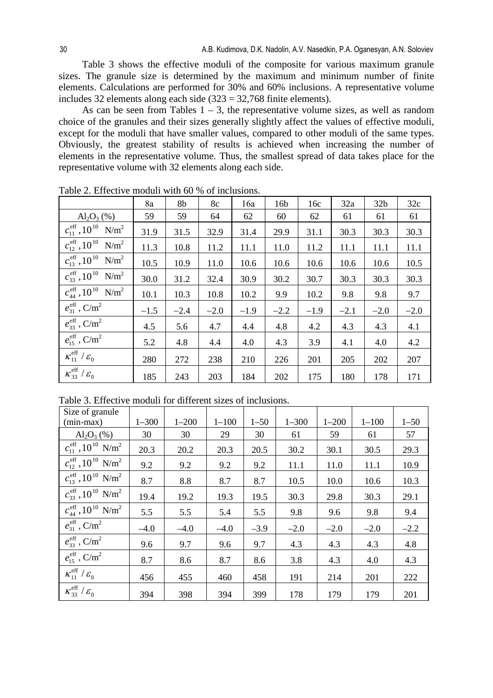Table 3 shows the effective moduli of the composite for various maximum granule sizes. The granule size is determined by the maximum and minimum number of finite elements. Calculations are performed for 30% and 60% inclusions. A representative volume includes 32 elements along each side (323 = 32,768 finite elements).

As can be seen from Tables  $1 - 3$ , the representative volume sizes, as well as random choice of the granules and their sizes generally slightly affect the values of effective moduli, except for the moduli that have smaller values, compared to other moduli of the same types. Obviously, the greatest stability of results is achieved when increasing the number of elements in the representative volume. Thus, the smallest spread of data takes place for the representative volume with 32 elements along each side.

|                                                              | 8a     | 8b     | 8c     | 16a    | 16 <sub>b</sub> | 16c    | 32a    | 32 <sub>b</sub> | 32c    |
|--------------------------------------------------------------|--------|--------|--------|--------|-----------------|--------|--------|-----------------|--------|
| $Al_2O_3$ (%)                                                | 59     | 59     | 64     | 62     | 60              | 62     | 61     | 61              | 61     |
| $c_{11}^{\text{eff}}$ , 10 <sup>10</sup> N/m <sup>2</sup>    | 31.9   | 31.5   | 32.9   | 31.4   | 29.9            | 31.1   | 30.3   | 30.3            | 30.3   |
| $c_{12}^{\text{eff}}$ , 10 <sup>10</sup> N/m <sup>2</sup>    | 11.3   | 10.8   | 11.2   | 11.1   | 11.0            | 11.2   | 11.1   | 11.1            | 11.1   |
| $c_{13}^{\text{eff}}$ , 10 <sup>10</sup> N/m <sup>2</sup>    | 10.5   | 10.9   | 11.0   | 10.6   | 10.6            | 10.6   | 10.6   | 10.6            | 10.5   |
| $c_{33}^{\text{eff}}$ , 10 <sup>10</sup><br>N/m <sup>2</sup> | 30.0   | 31.2   | 32.4   | 30.9   | 30.2            | 30.7   | 30.3   | 30.3            | 30.3   |
| $c_{\rm 44}^{\rm eff}, 10^{10}$<br>$N/m^2$                   | 10.1   | 10.3   | 10.8   | 10.2   | 9.9             | 10.2   | 9.8    | 9.8             | 9.7    |
| $e_{31}^{\text{eff}}$ , C/m <sup>2</sup>                     | $-1.5$ | $-2.4$ | $-2.0$ | $-1.9$ | $-2.2$          | $-1.9$ | $-2.1$ | $-2.0$          | $-2.0$ |
| $e_{33}^{\text{eff}}$ , C/m <sup>2</sup>                     | 4.5    | 5.6    | 4.7    | 4.4    | 4.8             | 4.2    | 4.3    | 4.3             | 4.1    |
| $e_{15}^{\text{eff}}$ , C/m <sup>2</sup>                     | 5.2    | 4.8    | 4.4    | 4.0    | 4.3             | 3.9    | 4.1    | 4.0             | 4.2    |
| $\kappa_{11}^{\text{eff}}/\varepsilon_0$                     | 280    | 272    | 238    | 210    | 226             | 201    | 205    | 202             | 207    |
| $\kappa_{33}^{\rm eff}/\varepsilon_0$                        | 185    | 243    | 203    | 184    | 202             | 175    | 180    | 178             | 171    |

Table 2. Effective moduli with 60 % of inclusions.

|  |  | Table 3. Effective moduli for different sizes of inclusions. |
|--|--|--------------------------------------------------------------|
|  |  |                                                              |

| Size of granule                                           |           |           |           |          |           |           |           |          |
|-----------------------------------------------------------|-----------|-----------|-----------|----------|-----------|-----------|-----------|----------|
| $(min-max)$                                               | $1 - 300$ | $1 - 200$ | $1 - 100$ | $1 - 50$ | $1 - 300$ | $1 - 200$ | $1 - 100$ | $1 - 50$ |
| $Al_2O_3$ (%)                                             | 30        | 30        | 29        | 30       | 61        | 59        | 61        | 57       |
| $c_{11}^{\text{eff}}$ , 10 <sup>10</sup> N/m <sup>2</sup> | 20.3      | 20.2      | 20.3      | 20.5     | 30.2      | 30.1      | 30.5      | 29.3     |
| $c_{12}^{\text{eff}}$ , 10 <sup>10</sup> N/m <sup>2</sup> | 9.2       | 9.2       | 9.2       | 9.2      | 11.1      | 11.0      | 11.1      | 10.9     |
| $c_{13}^{\text{eff}}$ , 10 <sup>10</sup> N/m <sup>2</sup> | 8.7       | 8.8       | 8.7       | 8.7      | 10.5      | 10.0      | 10.6      | 10.3     |
| $c_{33}^{\text{eff}}$ , 10 <sup>10</sup> N/m <sup>2</sup> | 19.4      | 19.2      | 19.3      | 19.5     | 30.3      | 29.8      | 30.3      | 29.1     |
| $c_{\rm 44}^{\rm eff}, 10^{10}~{\rm N/m^2}$               | 5.5       | 5.5       | 5.4       | 5.5      | 9.8       | 9.6       | 9.8       | 9.4      |
| $e_{31}^{\text{eff}}$ , C/m <sup>2</sup>                  | $-4.0$    | $-4.0$    | $-4.0$    | $-3.9$   | $-2.0$    | $-2.0$    | $-2.0$    | $-2.2$   |
| $e_{33}^{\text{eff}}$ , C/m <sup>2</sup>                  | 9.6       | 9.7       | 9.6       | 9.7      | 4.3       | 4.3       | 4.3       | 4.8      |
| $e_{15}^{\text{eff}}$ , C/m <sup>2</sup>                  | 8.7       | 8.6       | 8.7       | 8.6      | 3.8       | 4.3       | 4.0       | 4.3      |
| $\kappa_{11}^{\text{eff}}/\varepsilon_0$                  | 456       | 455       | 460       | 458      | 191       | 214       | 201       | 222      |
| $\kappa_{33}^{\rm eff}/\varepsilon_0$                     | 394       | 398       | 394       | 399      | 178       | 179       | 179       | 201      |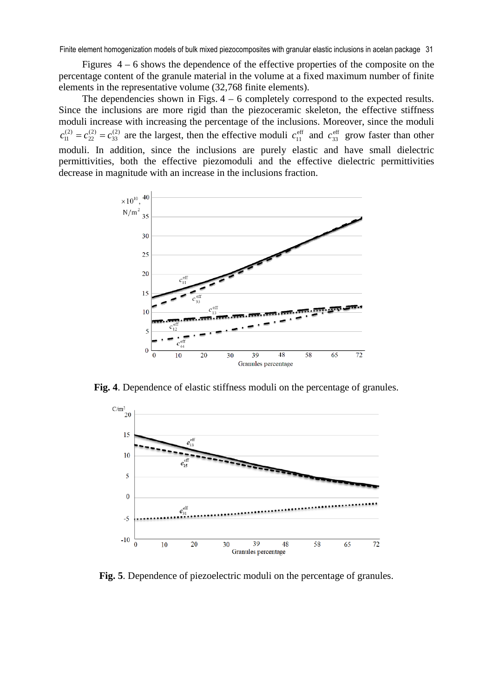Finite element homogenization models of bulk mixed piezocomposites with granular elastic inclusions in acelan package 31

Figures 4 – 6 shows the dependence of the effective properties of the composite on the percentage content of the granule material in the volume at a fixed maximum number of finite elements in the representative volume (32,768 finite elements).

The dependencies shown in Figs.  $4 - 6$  completely correspond to the expected results. Since the inclusions are more rigid than the piezoceramic skeleton, the effective stiffness moduli increase with increasing the percentage of the inclusions. Moreover, since the moduli  $(2)$ 33  $(2)$ 22  $c_{11}^{(2)} = c_{22}^{(2)} = c_{33}^{(2)}$  are the largest, then the effective moduli  $c_{11}^{\text{eff}}$  and  $c_{33}^{\text{eff}}$  grow faster than other moduli. In addition, since the inclusions are purely elastic and have small dielectric permittivities, both the effective piezomoduli and the effective dielectric permittivities decrease in magnitude with an increase in the inclusions fraction.



**Fig. 4**. Dependence of elastic stiffness moduli on the percentage of granules.



**Fig. 5**. Dependence of piezoelectric moduli on the percentage of granules.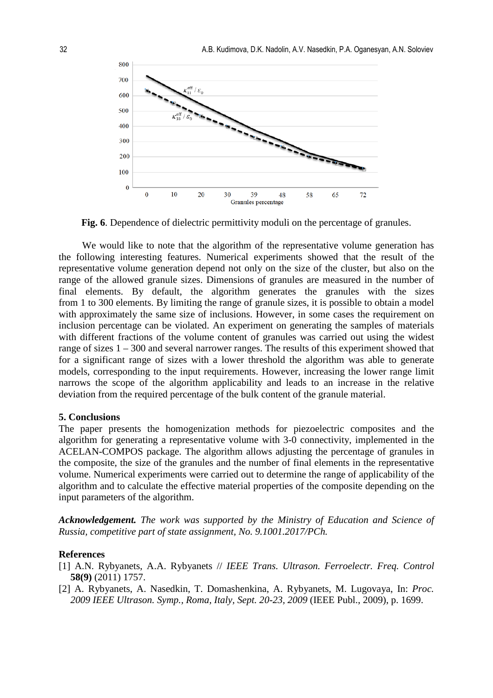

**Fig. 6**. Dependence of dielectric permittivity moduli on the percentage of granules.

We would like to note that the algorithm of the representative volume generation has the following interesting features. Numerical experiments showed that the result of the representative volume generation depend not only on the size of the cluster, but also on the range of the allowed granule sizes. Dimensions of granules are measured in the number of final elements. By default, the algorithm generates the granules with the sizes from 1 to 300 elements. By limiting the range of granule sizes, it is possible to obtain a model with approximately the same size of inclusions. However, in some cases the requirement on inclusion percentage can be violated. An experiment on generating the samples of materials with different fractions of the volume content of granules was carried out using the widest range of sizes 1 – 300 and several narrower ranges. The results of this experiment showed that for a significant range of sizes with a lower threshold the algorithm was able to generate models, corresponding to the input requirements. However, increasing the lower range limit narrows the scope of the algorithm applicability and leads to an increase in the relative deviation from the required percentage of the bulk content of the granule material.

#### **5. Conclusions**

The paper presents the homogenization methods for piezoelectric composites and the algorithm for generating a representative volume with 3-0 connectivity, implemented in the ACELAN-COMPOS package. The algorithm allows adjusting the percentage of granules in the composite, the size of the granules and the number of final elements in the representative volume. Numerical experiments were carried out to determine the range of applicability of the algorithm and to calculate the effective material properties of the composite depending on the input parameters of the algorithm.

*Acknowledgement. The work was supported by the Ministry of Education and Science of Russia, competitive part of state assignment, No. 9.1001.2017/PCh.* 

#### **References**

- [1] A.N. Rybyanets, A.A. Rybyanets // *IEEE Trans. Ultrason. Ferroelectr. Freq. Control* **58(9)** (2011) 1757.
- [2] A. Rybyanets, A. Nasedkin, T. Domashenkina, A. Rybyanets, M. Lugovaya, In: *Proc. 2009 IEEE Ultrason. Symp., Roma, Italy, Sept. 20-23, 2009* (IEEE Publ., 2009), p. 1699.